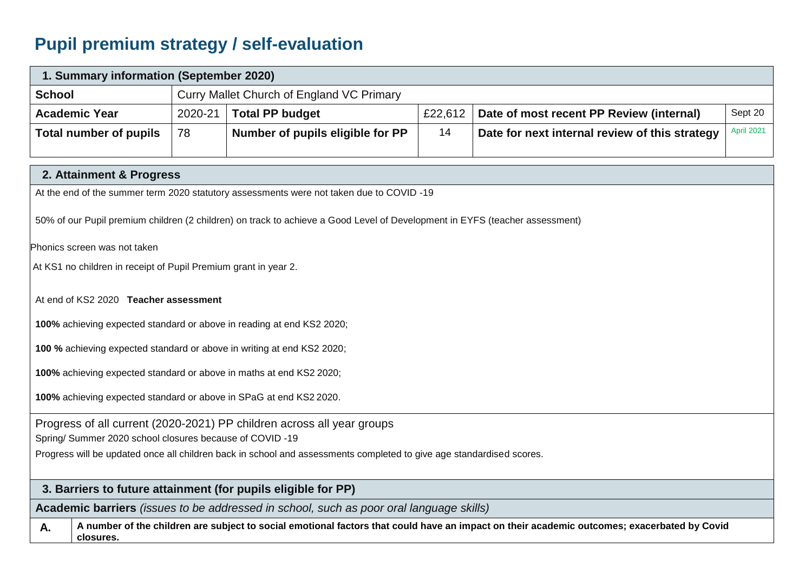## **Pupil premium strategy / self-evaluation**

**closures.**

| 1. Summary information (September 2020) |                                           |                                  |         |                                                |                   |  |  |
|-----------------------------------------|-------------------------------------------|----------------------------------|---------|------------------------------------------------|-------------------|--|--|
| <b>School</b>                           | Curry Mallet Church of England VC Primary |                                  |         |                                                |                   |  |  |
| <b>Academic Year</b>                    | 2020-21                                   | <b>Total PP budget</b>           | £22,612 | Date of most recent PP Review (internal)       | Sept 20           |  |  |
| Total number of pupils                  | 78                                        | Number of pupils eligible for PP | 14      | Date for next internal review of this strategy | <b>April 2021</b> |  |  |
|                                         |                                           |                                  |         |                                                |                   |  |  |
|                                         |                                           |                                  |         |                                                |                   |  |  |

## **2. Attainment & Progress** At the end of the summer term 2020 statutory assessments were not taken due to COVID -19 50% of our Pupil premium children (2 children) on track to achieve a Good Level of Development in EYFS (teacher assessment) Phonics screen was not taken At KS1 no children in receipt of Pupil Premium grant in year 2. At end of KS2 2020 **Teacher assessment 100%** achieving expected standard or above in reading at end KS2 2020; **100 %** achieving expected standard or above in writing at end KS2 2020; **100%** achieving expected standard or above in maths at end KS2 2020; **100%** achieving expected standard or above in SPaG at end KS2 2020. Progress of all current (2020-2021) PP children across all year groups Spring/ Summer 2020 school closures because of COVID -19 Progress will be updated once all children back in school and assessments completed to give age standardised scores. **3. Barriers to future attainment (for pupils eligible for PP) Academic barriers** *(issues to be addressed in school, such as poor oral language skills)* **A. A number of the children are subject to social emotional factors that could have an impact on their academic outcomes; exacerbated by Covid**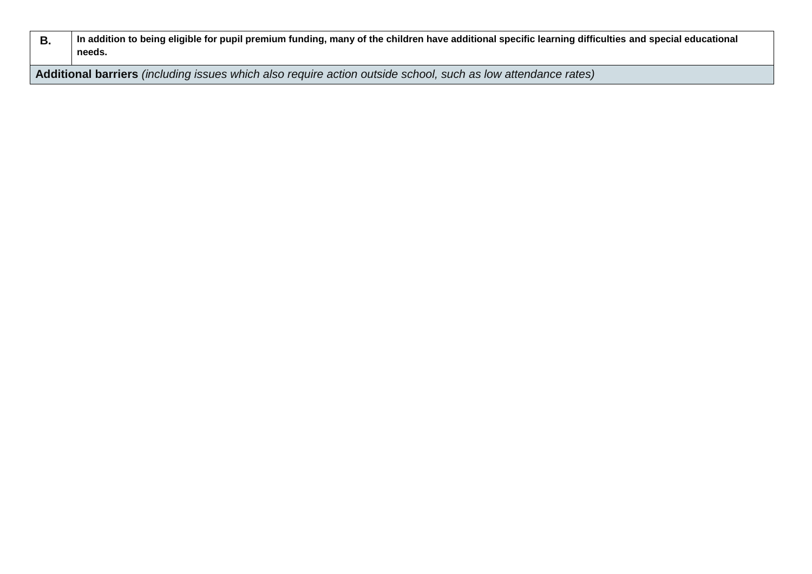| In addition to being eligible for pupil premium funding, many of the children have additional specific learning difficulties and special educational |
|------------------------------------------------------------------------------------------------------------------------------------------------------|
| needs.                                                                                                                                               |

**Additional barriers** *(including issues which also require action outside school, such as low attendance rates)*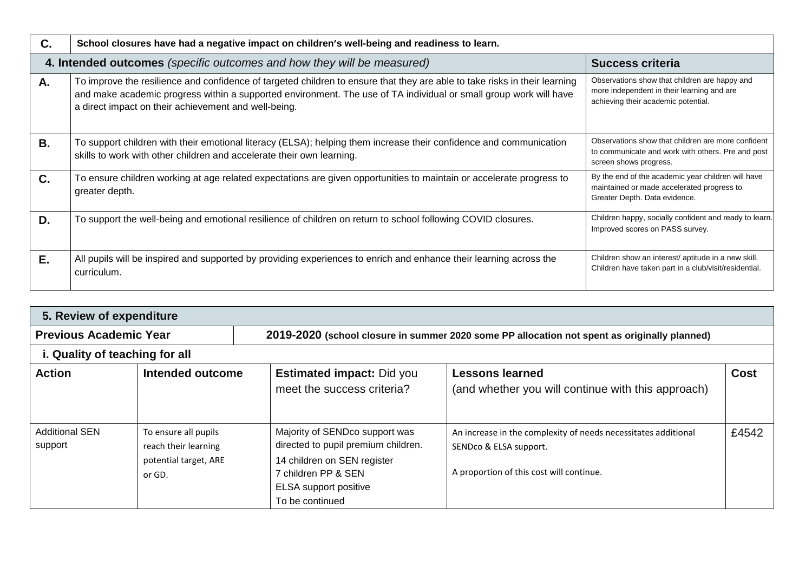| C. | School closures have had a negative impact on children's well-being and readiness to learn.                                                                                                                                                                                                             |                                                                                                                                    |  |  |  |  |  |
|----|---------------------------------------------------------------------------------------------------------------------------------------------------------------------------------------------------------------------------------------------------------------------------------------------------------|------------------------------------------------------------------------------------------------------------------------------------|--|--|--|--|--|
|    | 4. Intended outcomes (specific outcomes and how they will be measured)                                                                                                                                                                                                                                  | <b>Success criteria</b>                                                                                                            |  |  |  |  |  |
| А. | To improve the resilience and confidence of targeted children to ensure that they are able to take risks in their learning<br>and make academic progress within a supported environment. The use of TA individual or small group work will have<br>a direct impact on their achievement and well-being. | Observations show that children are happy and<br>more independent in their learning and are<br>achieving their academic potential. |  |  |  |  |  |
| В. | To support children with their emotional literacy (ELSA); helping them increase their confidence and communication<br>skills to work with other children and accelerate their own learning.                                                                                                             | Observations show that children are more confident<br>to communicate and work with others. Pre and post<br>screen shows progress.  |  |  |  |  |  |
| C. | To ensure children working at age related expectations are given opportunities to maintain or accelerate progress to<br>greater depth.                                                                                                                                                                  | By the end of the academic year children will have<br>maintained or made accelerated progress to<br>Greater Depth. Data evidence.  |  |  |  |  |  |
| D. | To support the well-being and emotional resilience of children on return to school following COVID closures.                                                                                                                                                                                            | Children happy, socially confident and ready to learn.<br>Improved scores on PASS survey.                                          |  |  |  |  |  |
| E. | All pupils will be inspired and supported by providing experiences to enrich and enhance their learning across the<br>curriculum.                                                                                                                                                                       | Children show an interest/aptitude in a new skill.<br>Children have taken part in a club/visit/residential.                        |  |  |  |  |  |

| 5. Review of expenditure          |                                                                                 |                                                                                                                                                                                |                                                                                                                                      |             |  |  |
|-----------------------------------|---------------------------------------------------------------------------------|--------------------------------------------------------------------------------------------------------------------------------------------------------------------------------|--------------------------------------------------------------------------------------------------------------------------------------|-------------|--|--|
| <b>Previous Academic Year</b>     |                                                                                 |                                                                                                                                                                                | 2019-2020 (school closure in summer 2020 some PP allocation not spent as originally planned)                                         |             |  |  |
| i. Quality of teaching for all    |                                                                                 |                                                                                                                                                                                |                                                                                                                                      |             |  |  |
| <b>Action</b><br>Intended outcome |                                                                                 | <b>Estimated impact: Did you</b><br>meet the success criteria?                                                                                                                 | <b>Lessons learned</b><br>(and whether you will continue with this approach)                                                         | <b>Cost</b> |  |  |
| <b>Additional SEN</b><br>support  | To ensure all pupils<br>reach their learning<br>potential target, ARE<br>or GD. | Majority of SENDco support was<br>directed to pupil premium children.<br>14 children on SEN register<br>7 children PP & SEN<br><b>ELSA</b> support positive<br>To be continued | An increase in the complexity of needs necessitates additional<br>SENDco & ELSA support.<br>A proportion of this cost will continue. | £4542       |  |  |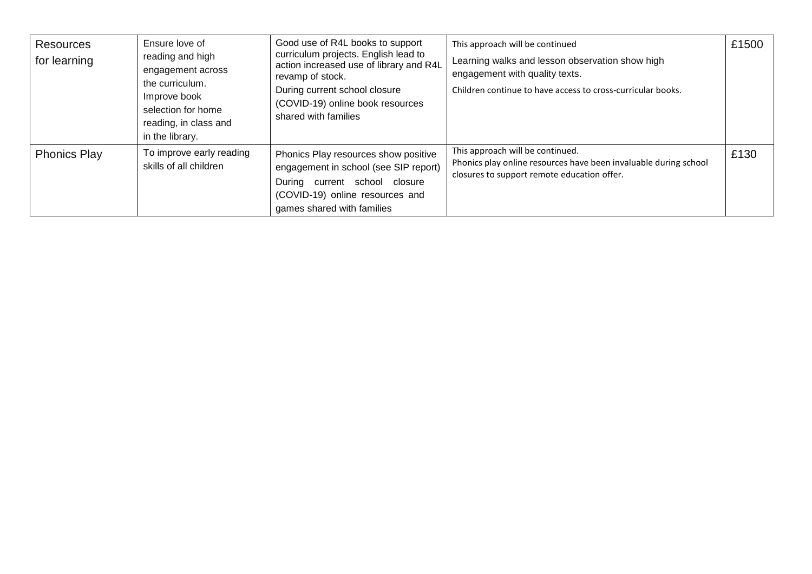| <b>Resources</b><br>for learning | Ensure love of<br>reading and high<br>engagement across<br>the curriculum.<br>Improve book<br>selection for home<br>reading, in class and<br>in the library. | Good use of R4L books to support<br>curriculum projects. English lead to<br>action increased use of library and R4L<br>revamp of stock.<br>During current school closure<br>(COVID-19) online book resources<br>shared with families | This approach will be continued<br>Learning walks and lesson observation show high<br>engagement with quality texts.<br>Children continue to have access to cross-curricular books. | £1500 |
|----------------------------------|--------------------------------------------------------------------------------------------------------------------------------------------------------------|--------------------------------------------------------------------------------------------------------------------------------------------------------------------------------------------------------------------------------------|-------------------------------------------------------------------------------------------------------------------------------------------------------------------------------------|-------|
| <b>Phonics Play</b>              | To improve early reading<br>skills of all children                                                                                                           | Phonics Play resources show positive<br>engagement in school (see SIP report)<br>During current school closure<br>(COVID-19) online resources and<br>games shared with families                                                      | This approach will be continued.<br>Phonics play online resources have been invaluable during school<br>closures to support remote education offer.                                 | £130  |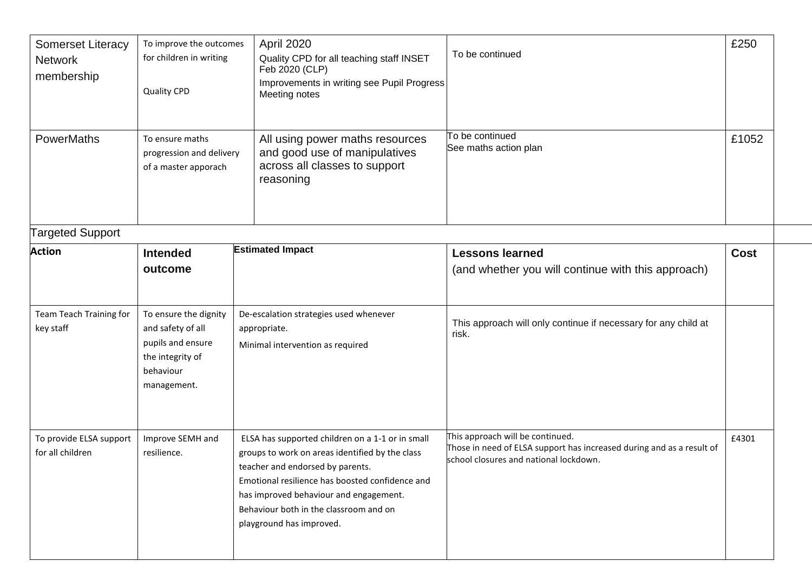| <b>Somerset Literacy</b><br><b>Network</b><br>membership                                 | April 2020<br>To improve the outcomes<br>for children in writing<br>Quality CPD for all teaching staff INSET<br>Feb 2020 (CLP)<br>Improvements in writing see Pupil Progress<br><b>Quality CPD</b><br>Meeting notes |                                                                                                                                                                                                                                                                                                            | To be continued                                                                                                                                     | £250        |
|------------------------------------------------------------------------------------------|---------------------------------------------------------------------------------------------------------------------------------------------------------------------------------------------------------------------|------------------------------------------------------------------------------------------------------------------------------------------------------------------------------------------------------------------------------------------------------------------------------------------------------------|-----------------------------------------------------------------------------------------------------------------------------------------------------|-------------|
| <b>PowerMaths</b><br>To ensure maths<br>progression and delivery<br>of a master apporach |                                                                                                                                                                                                                     | All using power maths resources<br>and good use of manipulatives<br>across all classes to support<br>reasoning                                                                                                                                                                                             | To be continued<br>See maths action plan                                                                                                            | £1052       |
| <b>Targeted Support</b>                                                                  |                                                                                                                                                                                                                     |                                                                                                                                                                                                                                                                                                            |                                                                                                                                                     |             |
| <b>Action</b>                                                                            | <b>Intended</b>                                                                                                                                                                                                     | <b>Estimated Impact</b>                                                                                                                                                                                                                                                                                    | <b>Lessons learned</b>                                                                                                                              | <b>Cost</b> |
| Team Teach Training for<br>key staff                                                     | outcome<br>To ensure the dignity<br>and safety of all<br>pupils and ensure<br>the integrity of<br>behaviour<br>management.                                                                                          | De-escalation strategies used whenever<br>appropriate.<br>Minimal intervention as required                                                                                                                                                                                                                 | (and whether you will continue with this approach)<br>This approach will only continue if necessary for any child at<br>risk.                       |             |
| To provide ELSA support<br>for all children                                              | Improve SEMH and<br>resilience.                                                                                                                                                                                     | ELSA has supported children on a 1-1 or in small<br>groups to work on areas identified by the class<br>teacher and endorsed by parents.<br>Emotional resilience has boosted confidence and<br>has improved behaviour and engagement.<br>Behaviour both in the classroom and on<br>playground has improved. | This approach will be continued.<br>Those in need of ELSA support has increased during and as a result of<br>school closures and national lockdown. | £4301       |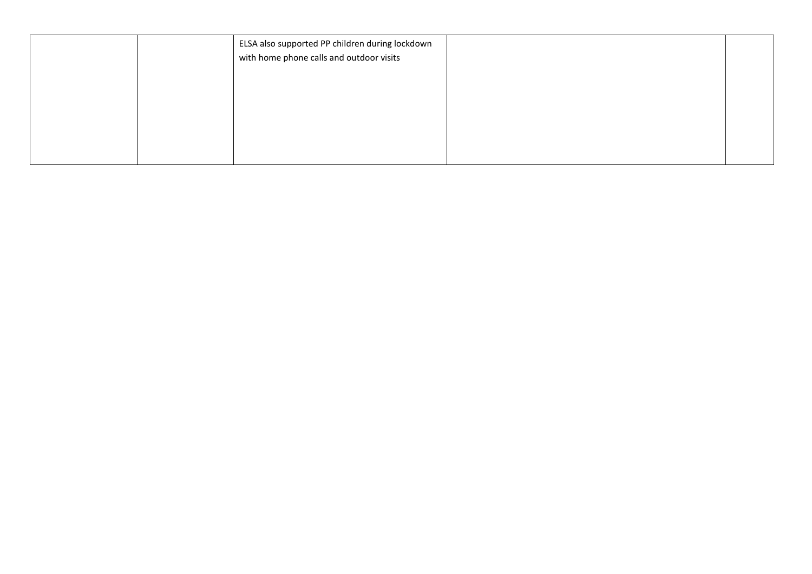|  | ELSA also supported PP children during lockdown<br>with home phone calls and outdoor visits |  |
|--|---------------------------------------------------------------------------------------------|--|
|  |                                                                                             |  |
|  |                                                                                             |  |
|  |                                                                                             |  |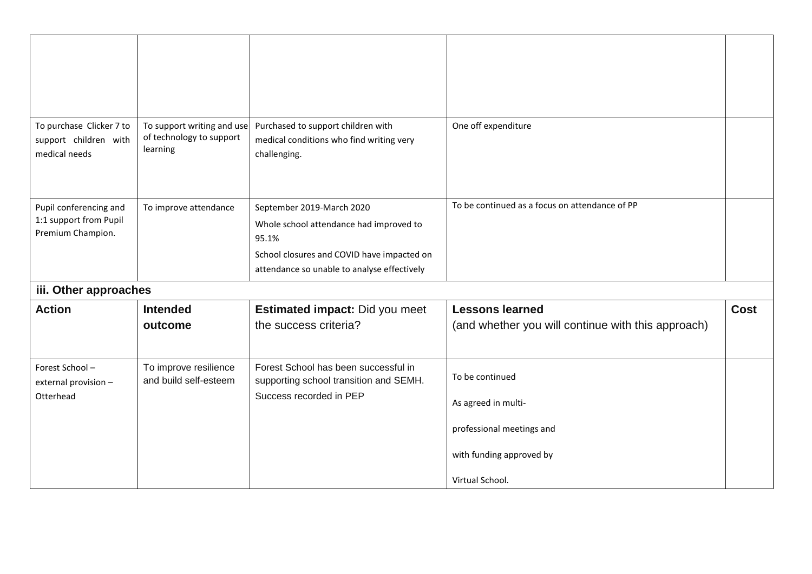| To purchase Clicker 7 to<br>support children with<br>medical needs    | To support writing and use<br>of technology to support<br>learning | Purchased to support children with<br>medical conditions who find writing very<br>challenging.                                                                             | One off expenditure                                                                                                |             |
|-----------------------------------------------------------------------|--------------------------------------------------------------------|----------------------------------------------------------------------------------------------------------------------------------------------------------------------------|--------------------------------------------------------------------------------------------------------------------|-------------|
| Pupil conferencing and<br>1:1 support from Pupil<br>Premium Champion. | To improve attendance                                              | September 2019-March 2020<br>Whole school attendance had improved to<br>95.1%<br>School closures and COVID have impacted on<br>attendance so unable to analyse effectively | To be continued as a focus on attendance of PP                                                                     |             |
| iii. Other approaches                                                 |                                                                    |                                                                                                                                                                            |                                                                                                                    |             |
| <b>Action</b>                                                         | <b>Intended</b><br>outcome                                         | Estimated impact: Did you meet<br>the success criteria?                                                                                                                    | <b>Lessons learned</b><br>(and whether you will continue with this approach)                                       | <b>Cost</b> |
| Forest School-<br>external provision -<br>Otterhead                   | To improve resilience<br>and build self-esteem                     | Forest School has been successful in<br>supporting school transition and SEMH.<br>Success recorded in PEP                                                                  | To be continued<br>As agreed in multi-<br>professional meetings and<br>with funding approved by<br>Virtual School. |             |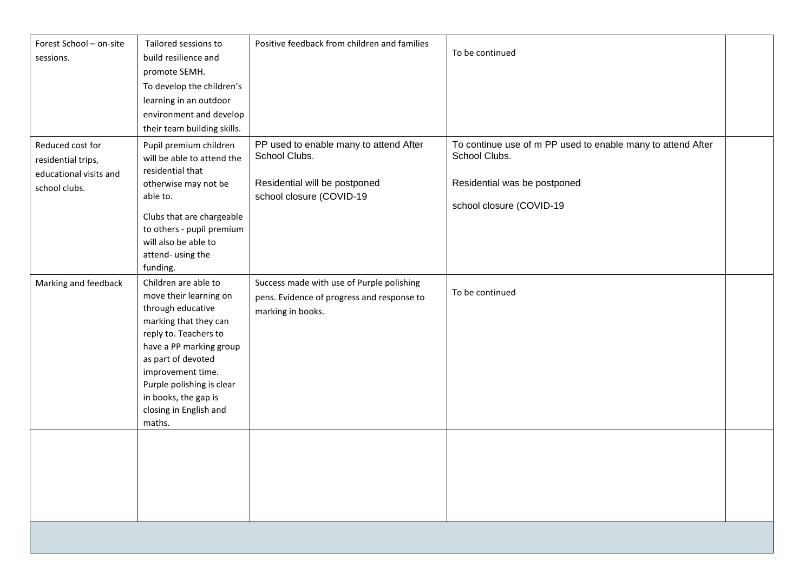| Forest School - on-site<br>sessions.                                              | Tailored sessions to<br>build resilience and<br>promote SEMH.<br>To develop the children's<br>learning in an outdoor<br>environment and develop<br>their team building skills.                                                                                                       | Positive feedback from children and families                                                                         | To be continued                                                                                                                          |  |
|-----------------------------------------------------------------------------------|--------------------------------------------------------------------------------------------------------------------------------------------------------------------------------------------------------------------------------------------------------------------------------------|----------------------------------------------------------------------------------------------------------------------|------------------------------------------------------------------------------------------------------------------------------------------|--|
| Reduced cost for<br>residential trips,<br>educational visits and<br>school clubs. | Pupil premium children<br>will be able to attend the<br>residential that<br>otherwise may not be<br>able to.<br>Clubs that are chargeable<br>to others - pupil premium<br>will also be able to<br>attend-using the<br>funding.                                                       | PP used to enable many to attend After<br>School Clubs.<br>Residential will be postponed<br>school closure (COVID-19 | To continue use of m PP used to enable many to attend After<br>School Clubs.<br>Residential was be postponed<br>school closure (COVID-19 |  |
| Marking and feedback                                                              | Children are able to<br>move their learning on<br>through educative<br>marking that they can<br>reply to. Teachers to<br>have a PP marking group<br>as part of devoted<br>improvement time.<br>Purple polishing is clear<br>in books, the gap is<br>closing in English and<br>maths. | Success made with use of Purple polishing<br>pens. Evidence of progress and response to<br>marking in books.         | To be continued                                                                                                                          |  |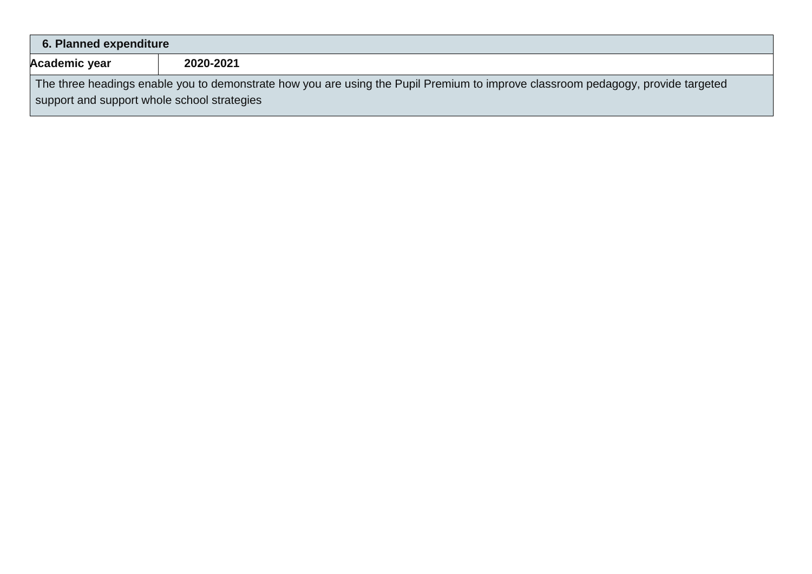| 6. Planned expenditure                      |                                                                                                                                  |  |  |  |  |
|---------------------------------------------|----------------------------------------------------------------------------------------------------------------------------------|--|--|--|--|
| Academic year<br>2020-2021                  |                                                                                                                                  |  |  |  |  |
| support and support whole school strategies | The three headings enable you to demonstrate how you are using the Pupil Premium to improve classroom pedagogy, provide targeted |  |  |  |  |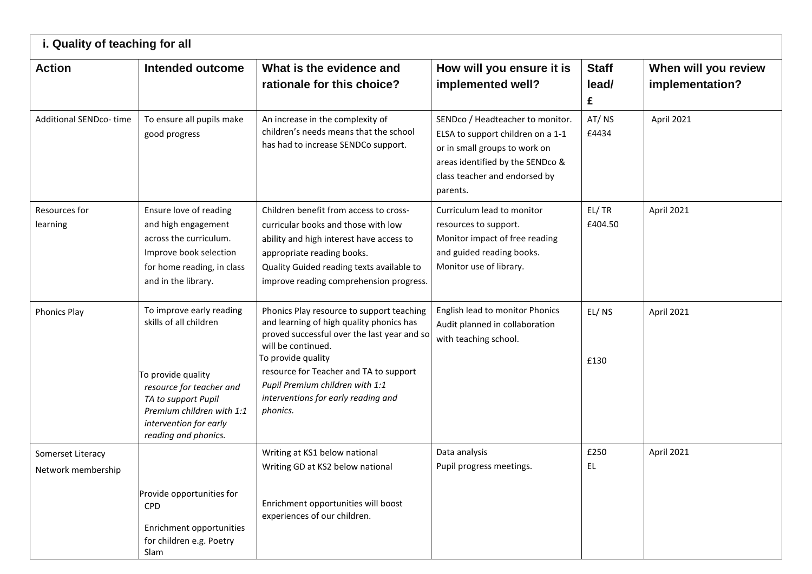| i. Quality of teaching for all          |                                                                                                                                                                                                            |                                                                                                                                                                                                                                                                                                                  |                                                                                                                                                                                         |                            |                                         |
|-----------------------------------------|------------------------------------------------------------------------------------------------------------------------------------------------------------------------------------------------------------|------------------------------------------------------------------------------------------------------------------------------------------------------------------------------------------------------------------------------------------------------------------------------------------------------------------|-----------------------------------------------------------------------------------------------------------------------------------------------------------------------------------------|----------------------------|-----------------------------------------|
| <b>Action</b>                           | <b>Intended outcome</b>                                                                                                                                                                                    | What is the evidence and<br>rationale for this choice?                                                                                                                                                                                                                                                           | How will you ensure it is<br>implemented well?                                                                                                                                          | <b>Staff</b><br>lead/<br>£ | When will you review<br>implementation? |
| Additional SENDco-time                  | To ensure all pupils make<br>good progress                                                                                                                                                                 | An increase in the complexity of<br>children's needs means that the school<br>has had to increase SENDCo support.                                                                                                                                                                                                | SENDco / Headteacher to monitor.<br>ELSA to support children on a 1-1<br>or in small groups to work on<br>areas identified by the SENDco &<br>class teacher and endorsed by<br>parents. | AT/NS<br>£4434             | April 2021                              |
| Resources for<br>learning               | Ensure love of reading<br>and high engagement<br>across the curriculum.<br>Improve book selection<br>for home reading, in class<br>and in the library.                                                     | Children benefit from access to cross-<br>curricular books and those with low<br>ability and high interest have access to<br>appropriate reading books.<br>Quality Guided reading texts available to<br>improve reading comprehension progress.                                                                  | Curriculum lead to monitor<br>resources to support.<br>Monitor impact of free reading<br>and guided reading books.<br>Monitor use of library.                                           | EL/TR<br>£404.50           | April 2021                              |
| <b>Phonics Play</b>                     | To improve early reading<br>skills of all children<br>To provide quality<br>resource for teacher and<br>TA to support Pupil<br>Premium children with 1:1<br>intervention for early<br>reading and phonics. | Phonics Play resource to support teaching<br>and learning of high quality phonics has<br>proved successful over the last year and so<br>will be continued.<br>To provide quality<br>resource for Teacher and TA to support<br>Pupil Premium children with 1:1<br>interventions for early reading and<br>phonics. | English lead to monitor Phonics<br>Audit planned in collaboration<br>with teaching school.                                                                                              | EL/NS<br>£130              | April 2021                              |
| Somerset Literacy<br>Network membership | Provide opportunities for<br><b>CPD</b><br>Enrichment opportunities<br>for children e.g. Poetry<br>Slam                                                                                                    | Writing at KS1 below national<br>Writing GD at KS2 below national<br>Enrichment opportunities will boost<br>experiences of our children.                                                                                                                                                                         | Data analysis<br>Pupil progress meetings.                                                                                                                                               | £250<br>EL                 | April 2021                              |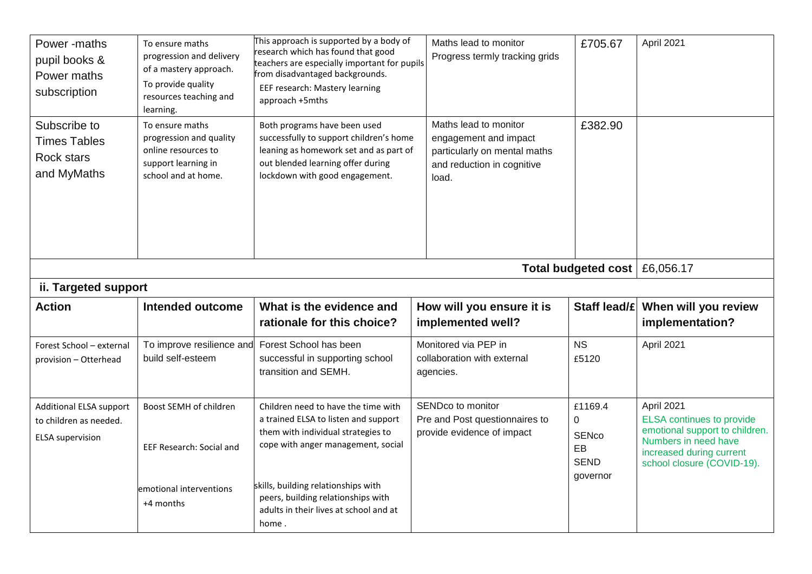| Power -maths<br>pupil books &<br>Power maths<br>subscription            | To ensure maths<br>progression and delivery<br>of a mastery approach.<br>To provide quality<br>resources teaching and<br>learning. | This approach is supported by a body of<br>research which has found that good<br>teachers are especially important for pupils<br>from disadvantaged backgrounds.<br>EEF research: Mastery learning<br>approach +5mths | Maths lead to monitor<br>Progress termly tracking grids                                                               | £705.67                                | April 2021                                                                       |
|-------------------------------------------------------------------------|------------------------------------------------------------------------------------------------------------------------------------|-----------------------------------------------------------------------------------------------------------------------------------------------------------------------------------------------------------------------|-----------------------------------------------------------------------------------------------------------------------|----------------------------------------|----------------------------------------------------------------------------------|
| Subscribe to<br><b>Times Tables</b><br><b>Rock stars</b><br>and MyMaths | To ensure maths<br>progression and quality<br>online resources to<br>support learning in<br>school and at home.                    | Both programs have been used<br>successfully to support children's home<br>leaning as homework set and as part of<br>out blended learning offer during<br>lockdown with good engagement.                              | Maths lead to monitor<br>engagement and impact<br>particularly on mental maths<br>and reduction in cognitive<br>load. | £382.90                                |                                                                                  |
| Total budgeted cost                                                     |                                                                                                                                    |                                                                                                                                                                                                                       |                                                                                                                       |                                        | £6,056.17                                                                        |
| ii. Targeted support                                                    |                                                                                                                                    |                                                                                                                                                                                                                       |                                                                                                                       |                                        |                                                                                  |
| <b>Action</b>                                                           | <b>Intended outcome</b>                                                                                                            | What is the evidence and<br>rationale for this choice?                                                                                                                                                                | How will you ensure it is<br>implemented well?                                                                        |                                        | Staff lead/£ When will you review<br>implementation?                             |
| Forest School - external<br>provision - Otterhead                       | To improve resilience and<br>build self-esteem                                                                                     | Forest School has been<br>successful in supporting school<br>transition and SEMH.                                                                                                                                     | Monitored via PEP in<br>collaboration with external<br>agencies.                                                      | <b>NS</b><br>£5120                     | April 2021                                                                       |
| Additional ELSA support<br>to children as needed.                       | Boost SEMH of children                                                                                                             | Children need to have the time with<br>a trained ELSA to listen and support<br>them with individual strategies to                                                                                                     | SENDco to monitor<br>Pre and Post questionnaires to<br>provide evidence of impact                                     | £1169.4<br>$\mathbf 0$<br><b>SENco</b> | April 2021<br><b>ELSA</b> continues to provide<br>emotional support to children. |
| <b>ELSA</b> supervision                                                 | <b>EEF Research: Social and</b>                                                                                                    | cope with anger management, social                                                                                                                                                                                    |                                                                                                                       | EB<br><b>SEND</b><br>governor          | Numbers in need have<br>increased during current<br>school closure (COVID-19).   |
|                                                                         | emotional interventions<br>+4 months                                                                                               | skills, building relationships with<br>peers, building relationships with<br>adults in their lives at school and at<br>home.                                                                                          |                                                                                                                       |                                        |                                                                                  |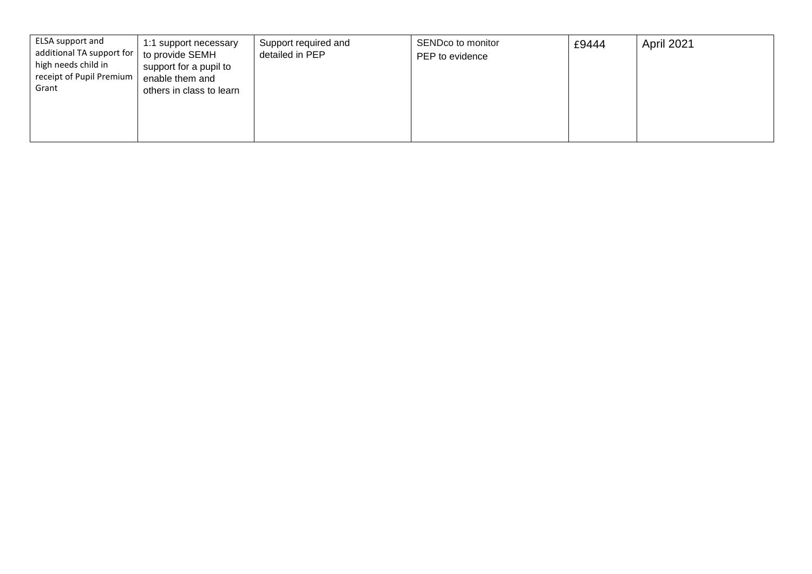| ELSA support and<br>1:1 support necessary<br>additional TA support for  <br>to provide SEMH<br>high needs child in<br>support for a pupil to<br>receipt of Pupil Premium<br>enable them and<br>Grant<br>others in class to learn | Support required and<br>detailed in PEP | SENDco to monitor<br>PEP to evidence | £9444 | April 2021 |
|----------------------------------------------------------------------------------------------------------------------------------------------------------------------------------------------------------------------------------|-----------------------------------------|--------------------------------------|-------|------------|
|----------------------------------------------------------------------------------------------------------------------------------------------------------------------------------------------------------------------------------|-----------------------------------------|--------------------------------------|-------|------------|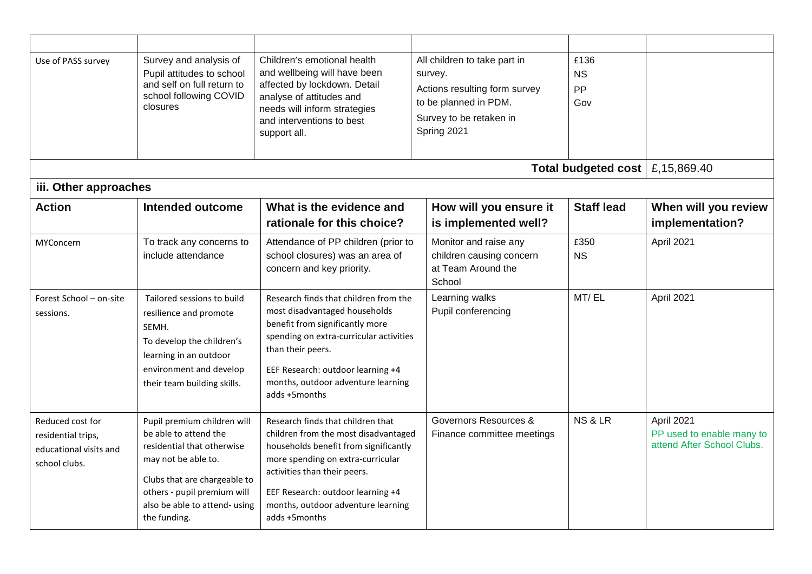| Use of PASS survey                                                                | Survey and analysis of<br>Pupil attitudes to school<br>and self on full return to<br>school following COVID<br>closures                                                                                                   | Children's emotional health<br>and wellbeing will have been<br>affected by lockdown. Detail<br>analyse of attitudes and<br>needs will inform strategies<br>and interventions to best<br>support all.                                                                                | All children to take part in<br>survey.<br>Actions resulting form survey<br>to be planned in PDM.<br>Survey to be retaken in<br>Spring 2021 | £136<br><b>NS</b><br>PP<br>Gov         |                                                                       |
|-----------------------------------------------------------------------------------|---------------------------------------------------------------------------------------------------------------------------------------------------------------------------------------------------------------------------|-------------------------------------------------------------------------------------------------------------------------------------------------------------------------------------------------------------------------------------------------------------------------------------|---------------------------------------------------------------------------------------------------------------------------------------------|----------------------------------------|-----------------------------------------------------------------------|
|                                                                                   |                                                                                                                                                                                                                           |                                                                                                                                                                                                                                                                                     |                                                                                                                                             | Total budgeted cost $\mid$ £,15,869.40 |                                                                       |
| iii. Other approaches                                                             |                                                                                                                                                                                                                           |                                                                                                                                                                                                                                                                                     |                                                                                                                                             |                                        |                                                                       |
| <b>Action</b>                                                                     | <b>Intended outcome</b>                                                                                                                                                                                                   | What is the evidence and<br>rationale for this choice?                                                                                                                                                                                                                              | How will you ensure it<br>is implemented well?                                                                                              | <b>Staff lead</b>                      | When will you review<br>implementation?                               |
| MYConcern                                                                         | To track any concerns to<br>include attendance                                                                                                                                                                            | Attendance of PP children (prior to<br>school closures) was an area of<br>concern and key priority.                                                                                                                                                                                 | Monitor and raise any<br>children causing concern<br>at Team Around the<br>School                                                           | £350<br><b>NS</b>                      | April 2021                                                            |
| Forest School - on-site<br>sessions.                                              | Tailored sessions to build<br>resilience and promote<br>SEMH.<br>To develop the children's<br>learning in an outdoor<br>environment and develop<br>their team building skills.                                            | Research finds that children from the<br>most disadvantaged households<br>benefit from significantly more<br>spending on extra-curricular activities<br>than their peers.<br>EEF Research: outdoor learning +4<br>months, outdoor adventure learning<br>adds +5months               | Learning walks<br>Pupil conferencing                                                                                                        | MT/EL                                  | April 2021                                                            |
| Reduced cost for<br>residential trips,<br>educational visits and<br>school clubs. | Pupil premium children will<br>be able to attend the<br>residential that otherwise<br>may not be able to.<br>Clubs that are chargeable to<br>others - pupil premium will<br>also be able to attend- using<br>the funding. | Research finds that children that<br>children from the most disadvantaged<br>households benefit from significantly<br>more spending on extra-curricular<br>activities than their peers.<br>EEF Research: outdoor learning +4<br>months, outdoor adventure learning<br>adds +5months | Governors Resources &<br>Finance committee meetings                                                                                         | NS & LR                                | April 2021<br>PP used to enable many to<br>attend After School Clubs. |